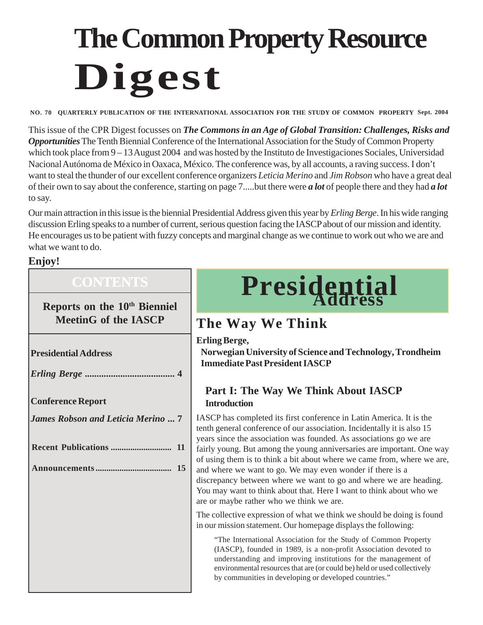# **The Common Property Resource Digest**

**NO. 70 QUARTERLY PUBLICATION OF THE INTERNATIONAL ASSOCIATION FOR THE STUDY OF COMMON PROPERTY Sept. 2004**

This issue of the CPR Digest focusses on *The Commons in an Age of Global Transition: Challenges, Risks and Opportunities* The Tenth Biennial Conference of the International Association for the Study of Common Property which took place from 9 – 13 August 2004 and was hosted by the Instituto de Investigaciones Sociales, Universidad Nacional Autónoma de México in Oaxaca, México. The conference was, by all accounts, a raving success. I don't want to steal the thunder of our excellent conference organizers *Leticia Merino* and *Jim Robson* who have a great deal of their own to say about the conference, starting on page 7.....but there were *a lot* of people there and they had *a lot* to say.

Our main attraction in this issue is the biennial Presidential Address given this year by *Erling Berge*. In his wide ranging discussion Erling speaks to a number of current, serious question facing the IASCP about of our mission and identity. He encourages us to be patient with fuzzy concepts and marginal change as we continue to work out who we are and what we want to do.

#### **Enjoy!**

### **CONTENTS**

**Reports on the 10<sup>th</sup> Bienniel** 

**Presidential Address**

*Erling Berge ......................................* **4**

**Conference Report**

*James Robson and Leticia Merino ...* **7**

# **Presidential Address**

## **MeetinG of the IASCP The Way We Think**

**Erling Berge,**

**Norwegian University of Science and Technology, Trondheim Immediate Past President IASCP**

#### **Part I: The Way We Think About IASCP Introduction**

IASCP has completed its first conference in Latin America. It is the tenth general conference of our association. Incidentally it is also 15 years since the association was founded. As associations go we are fairly young. But among the young anniversaries are important. One way of using them is to think a bit about where we came from, where we are, and where we want to go. We may even wonder if there is a discrepancy between where we want to go and where we are heading. You may want to think about that. Here I want to think about who we are or maybe rather who we think we are.

The collective expression of what we think we should be doing is found in our mission statement. Our homepage displays the following:

"The International Association for the Study of Common Property (IASCP), founded in 1989, is a non-profit Association devoted to understanding and improving institutions for the management of environmental resources that are (or could be) held or used collectively by communities in developing or developed countries."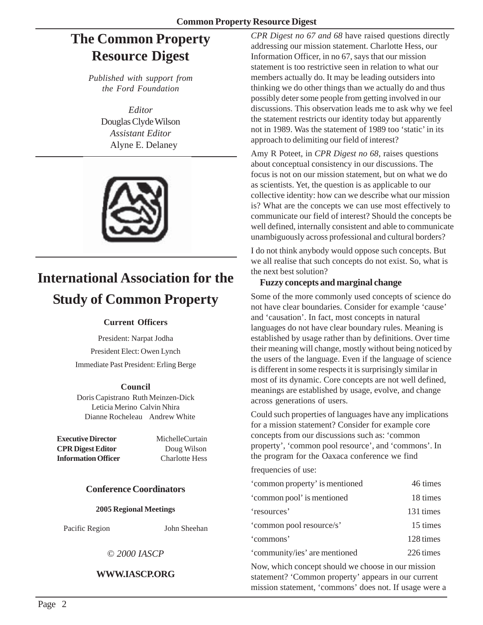## **The Common Property Resource Digest**

*Published with support from the Ford Foundation*

> *Editor* Douglas Clyde Wilson *Assistant Editor* Alyne E. Delaney



## **International Association for the Study of Common Property**

#### **Current Officers**

President: Narpat Jodha President Elect: Owen Lynch Immediate Past President: Erling Berge

#### **Council**

Doris Capistrano Ruth Meinzen-Dick Leticia Merino Calvin Nhira Dianne Rocheleau Andrew White

**Executive Director** MichelleCurtain **CPR Digest Editor** Doug Wilson **Information Officer** Charlotte Hess

#### **Conference Coordinators**

**2005 Regional Meetings**

Pacific Region John Sheehan

© *2000 IASCP*

#### **WWW.IASCP.ORG**

*CPR Digest no 67 and 68* have raised questions directly addressing our mission statement. Charlotte Hess, our Information Officer, in no 67, says that our mission statement is too restrictive seen in relation to what our members actually do. It may be leading outsiders into thinking we do other things than we actually do and thus possibly deter some people from getting involved in our discussions. This observation leads me to ask why we feel the statement restricts our identity today but apparently not in 1989. Was the statement of 1989 too 'static' in its approach to delimiting our field of interest?

Amy R Poteet, in *CPR Digest no 68*, raises questions about conceptual consistency in our discussions. The focus is not on our mission statement, but on what we do as scientists. Yet, the question is as applicable to our collective identity: how can we describe what our mission is? What are the concepts we can use most effectively to communicate our field of interest? Should the concepts be well defined, internally consistent and able to communicate unambiguously across professional and cultural borders?

I do not think anybody would oppose such concepts. But we all realise that such concepts do not exist. So, what is the next best solution?

#### **Fuzzy concepts and marginal change**

Some of the more commonly used concepts of science do not have clear boundaries. Consider for example 'cause' and 'causation'. In fact, most concepts in natural languages do not have clear boundary rules. Meaning is established by usage rather than by definitions. Over time their meaning will change, mostly without being noticed by the users of the language. Even if the language of science is different in some respects it is surprisingly similar in most of its dynamic. Core concepts are not well defined, meanings are established by usage, evolve, and change across generations of users.

Could such properties of languages have any implications for a mission statement? Consider for example core concepts from our discussions such as: 'common property', 'common pool resource', and 'commons'. In the program for the Oaxaca conference we find

frequencies of use:

| 'common property' is mentioned | 46 times  |
|--------------------------------|-----------|
| 'common pool' is mentioned     | 18 times  |
| 'resources'                    | 131 times |
| 'common pool resource/s'       | 15 times  |
| 'commons'                      | 128 times |
| 'community/ies' are mentioned  | 226 times |

Now, which concept should we choose in our mission statement? 'Common property' appears in our current mission statement, 'commons' does not. If usage were a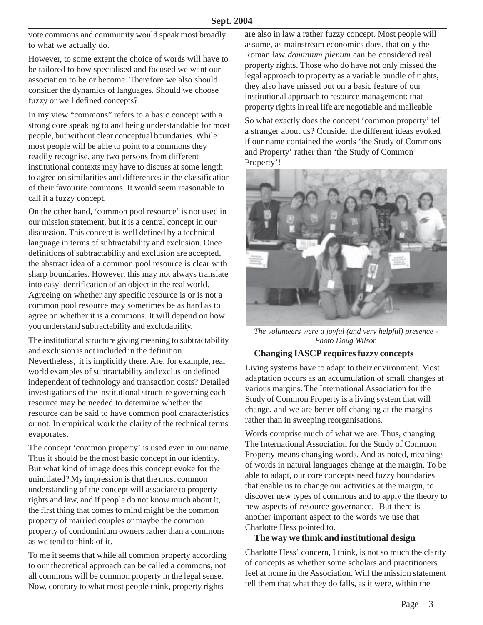vote commons and community would speak most broadly to what we actually do.

However, to some extent the choice of words will have to be tailored to how specialised and focused we want our association to be or become. Therefore we also should consider the dynamics of languages. Should we choose fuzzy or well defined concepts?

In my view "commons" refers to a basic concept with a strong core speaking to and being understandable for most people, but without clear conceptual boundaries. While most people will be able to point to a commons they readily recognise, any two persons from different institutional contexts may have to discuss at some length to agree on similarities and differences in the classification of their favourite commons. It would seem reasonable to call it a fuzzy concept.

On the other hand, 'common pool resource' is not used in our mission statement, but it is a central concept in our discussion. This concept is well defined by a technical language in terms of subtractability and exclusion. Once definitions of subtractability and exclusion are accepted, the abstract idea of a common pool resource is clear with sharp boundaries. However, this may not always translate into easy identification of an object in the real world. Agreeing on whether any specific resource is or is not a common pool resource may sometimes be as hard as to agree on whether it is a commons. It will depend on how you understand subtractability and excludability.

The institutional structure giving meaning to subtractability and exclusion is not included in the definition. Nevertheless, it is implicitly there. Are, for example, real world examples of subtractability and exclusion defined independent of technology and transaction costs? Detailed investigations of the institutional structure governing each resource may be needed to determine whether the resource can be said to have common pool characteristics or not. In empirical work the clarity of the technical terms evaporates.

The concept 'common property' is used even in our name. Thus it should be the most basic concept in our identity. But what kind of image does this concept evoke for the uninitiated? My impression is that the most common understanding of the concept will associate to property rights and law, and if people do not know much about it, the first thing that comes to mind might be the common property of married couples or maybe the common property of condominium owners rather than a commons as we tend to think of it.

To me it seems that while all common property according to our theoretical approach can be called a commons, not all commons will be common property in the legal sense. Now, contrary to what most people think, property rights

are also in law a rather fuzzy concept. Most people will assume, as mainstream economics does, that only the Roman law *dominium plenum* can be considered real property rights. Those who do have not only missed the legal approach to property as a variable bundle of rights, they also have missed out on a basic feature of our institutional approach to resource management: that property rights in real life are negotiable and malleable

So what exactly does the concept 'common property' tell a stranger about us? Consider the different ideas evoked if our name contained the words 'the Study of Commons and Property' rather than 'the Study of Common Property'!



*The volunteers were a joyful (and very helpful) presence - Photo Doug Wilson*

#### **Changing IASCP requires fuzzy concepts**

Living systems have to adapt to their environment. Most adaptation occurs as an accumulation of small changes at various margins. The International Association for the Study of Common Property is a living system that will change, and we are better off changing at the margins rather than in sweeping reorganisations.

Words comprise much of what we are. Thus, changing The International Association for the Study of Common Property means changing words. And as noted, meanings of words in natural languages change at the margin. To be able to adapt, our core concepts need fuzzy boundaries that enable us to change our activities at the margin, to discover new types of commons and to apply the theory to new aspects of resource governance. But there is another important aspect to the words we use that Charlotte Hess pointed to.

#### **The way we think and institutional design**

Charlotte Hess' concern, I think, is not so much the clarity of concepts as whether some scholars and practitioners feel at home in the Association. Will the mission statement tell them that what they do falls, as it were, within the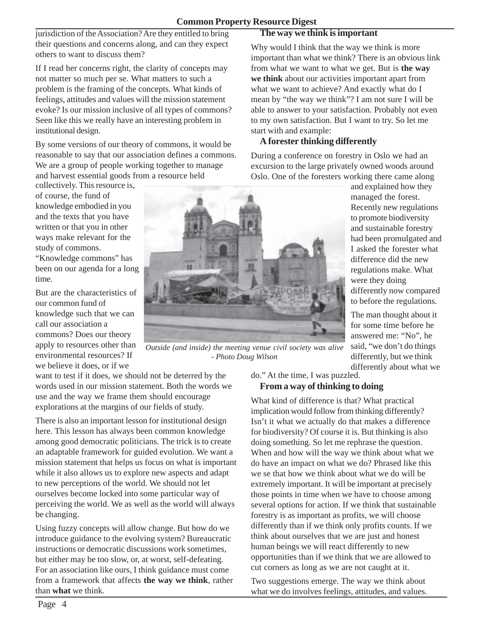jurisdiction of the Association? Are they entitled to bring their questions and concerns along, and can they expect others to want to discuss them?

If I read her concerns right, the clarity of concepts may not matter so much per se. What matters to such a problem is the framing of the concepts. What kinds of feelings, attitudes and values will the mission statement evoke? Is our mission inclusive of all types of commons? Seen like this we really have an interesting problem in institutional design.

By some versions of our theory of commons, it would be reasonable to say that our association defines a commons. We are a group of people working together to manage and harvest essential goods from a resource held

collectively. This resource is, of course, the fund of knowledge embodied in you and the texts that you have written or that you in other ways make relevant for the study of commons.

"Knowledge commons" has been on our agenda for a long time.

But are the characteristics of our common fund of knowledge such that we can call our association a commons? Does our theory apply to resources other than environmental resources? If we believe it does, or if we

*Outside (and inside) the meeting venue civil society was alive - Photo Doug Wilson*

want to test if it does, we should not be deterred by the words used in our mission statement. Both the words we use and the way we frame them should encourage explorations at the margins of our fields of study.

There is also an important lesson for institutional design here. This lesson has always been common knowledge among good democratic politicians. The trick is to create an adaptable framework for guided evolution. We want a mission statement that helps us focus on what is important while it also allows us to explore new aspects and adapt to new perceptions of the world. We should not let ourselves become locked into some particular way of perceiving the world. We as well as the world will always be changing.

Using fuzzy concepts will allow change. But how do we introduce guidance to the evolving system? Bureaucratic instructions or democratic discussions work sometimes, but either may be too slow, or, at worst, self-defeating. For an association like ours, I think guidance must come from a framework that affects **the way we think**, rather than **what** we think.

do." At the time, I was puzzled.

## **From a way of thinking to doing**

What kind of difference is that? What practical implication would follow from thinking differently? Isn't it what we actually do that makes a difference for biodiversity? Of course it is. But thinking is also doing something. So let me rephrase the question. When and how will the way we think about what we do have an impact on what we do? Phrased like this we se that how we think about what we do will be extremely important. It will be important at precisely those points in time when we have to choose among several options for action. If we think that sustainable forestry is as important as profits, we will choose differently than if we think only profits counts. If we think about ourselves that we are just and honest human beings we will react differently to new opportunities than if we think that we are allowed to cut corners as long as we are not caught at it.

Two suggestions emerge. The way we think about what we do involves feelings, attitudes, and values.

Why would I think that the way we think is more

**The way we think is important**

important than what we think? There is an obvious link from what we want to what we get. But is **the way we think** about our activities important apart from what we want to achieve? And exactly what do I mean by "the way we think"? I am not sure I will be able to answer to your satisfaction. Probably not even to my own satisfaction. But I want to try. So let me start with and example:

#### **A forester thinking differently**

During a conference on forestry in Oslo we had an excursion to the large privately owned woods around Oslo. One of the foresters working there came along

and explained how they managed the forest. Recently new regulations to promote biodiversity and sustainable forestry had been promulgated and I asked the forester what difference did the new regulations make. What were they doing differently now compared to before the regulations.

The man thought about it for some time before he answered me: "No", he said, "we don't do things differently, but we think differently about what we

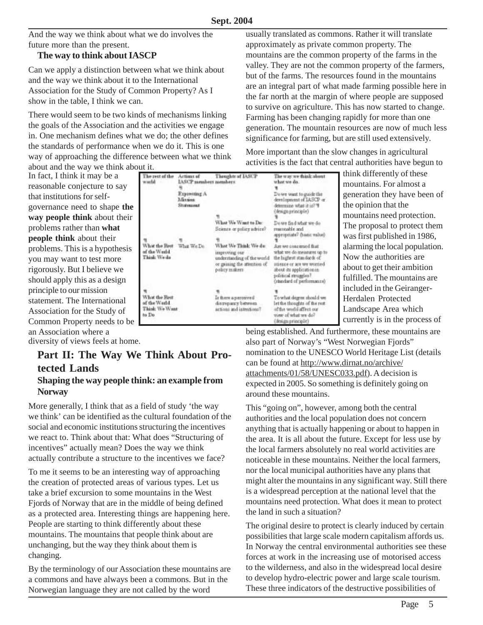Thoughts of IASCP

And the way we think about what we do involves the future more than the present.

#### **The way to think about IASCP**

Can we apply a distinction between what we think about and the way we think about it to the International Association for the Study of Common Property? As I show in the table, I think we can.

There would seem to be two kinds of mechanisms linking the goals of the Association and the activities we engage in. One mechanism defines what we do; the other defines the standards of performance when we do it. This is one way of approaching the difference between what we think about and the way we think about it.

The rest of the

of the Werld

Think Weds

What the Rest

Think We Want

of the World

to Do

woodd

Actions of

Expressing A

Mission

Statement

IASCP members members

usually translated as commons. Rather it will translate approximately as private common property. The mountains are the common property of the farms in the valley. They are not the common property of the farmers, but of the farms. The resources found in the mountains are an integral part of what made farming possible here in the far north at the margin of where people are supposed to survive on agriculture. This has now started to change. Farming has been changing rapidly for more than one generation. The mountain resources are now of much less significance for farming, but are still used extensively.

More important than the slow changes in agricultural activities is the fact that central authorities have begun to

In fact, I think it may be a reasonable conjecture to say that institutions for selfgovernance need to shape **the way people think** about their problems rather than **what people think** about their problems. This is a hypothesis you may want to test more rigorously. But I believe we should apply this as a design principle to our mission statement. The International Association for the Study of Common Property needs to be an Association where a diversity of views feels at home.

**Part II: The Way We Think About Protected Lands Shaping the way people think: an example from Norway**

More generally, I think that as a field of study 'the way we think' can be identified as the cultural foundation of the social and economic institutions structuring the incentives we react to. Think about that: What does "Structuring of incentives" actually mean? Does the way we think actually contribute a structure to the incentives we face?

To me it seems to be an interesting way of approaching the creation of protected areas of various types. Let us take a brief excursion to some mountains in the West Fjords of Norway that are in the middle of being defined as a protected area. Interesting things are happening here. People are starting to think differently about these mountains. The mountains that people think about are unchanging, but the way they think about them is changing.

By the terminology of our Association these mountains are a commons and have always been a commons. But in the Norwegian language they are not called by the word

determine what it is? "I (design principle) What We Want to Do: Down find what we do Science or policy advice? maronable and appropriate? (basic value) What the Rest What We Do What We Think We do: Are we concerned that what we do measures up to insproving our understanding of the world the highest standards of or gaining the attention of stience or are we worried. policy makers about its application in political struggles? (renderd of performance) Is there a perceived To what degree should we discrepancy between let the thoughts of the rest artions and intentions? of the world affect our view of what we do? (design principle)

The way we think about

Do we want to maide the

development of IASCP or

what we do. ٠

think differently of these mountains. For almost a generation they have been of the opinion that the mountains need protection. The proposal to protect them was first published in 1986, alarming the local population. Now the authorities are about to get their ambition fulfilled. The mountains are included in the Geiranger-Herdalen Protected Landscape Area which currently is in the process of

being established. And furthermore, these mountains are also part of Norway's "West Norwegian Fjords" nomination to the UNESCO World Heritage List (details can be found at http://www.dirnat.no/archive/ attachments/01/58/UNESC033.pdf). A decision is expected in 2005. So something is definitely going on around these mountains.

This "going on", however, among both the central authorities and the local population does not concern anything that is actually happening or about to happen in the area. It is all about the future. Except for less use by the local farmers absolutely no real world activities are noticeable in these mountains. Neither the local farmers, nor the local municipal authorities have any plans that might alter the mountains in any significant way. Still there is a widespread perception at the national level that the mountains need protection. What does it mean to protect the land in such a situation?

The original desire to protect is clearly induced by certain possibilities that large scale modern capitalism affords us. In Norway the central environmental authorities see these forces at work in the increasing use of motorised access to the wilderness, and also in the widespread local desire to develop hydro-electric power and large scale tourism. These three indicators of the destructive possibilities of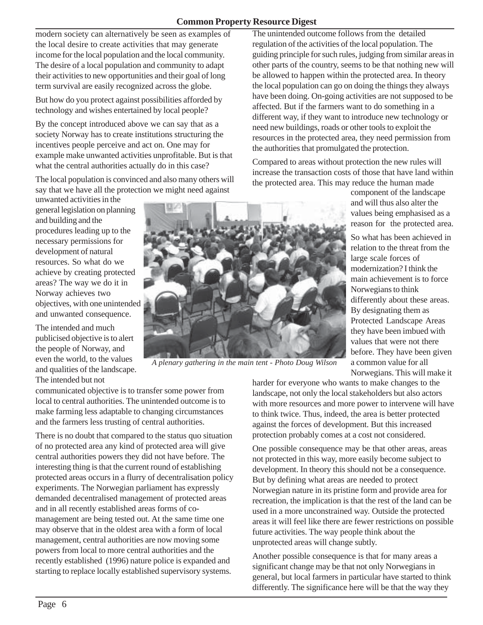#### **Common Property Resource Digest**

modern society can alternatively be seen as examples of the local desire to create activities that may generate income for the local population and the local community. The desire of a local population and community to adapt their activities to new opportunities and their goal of long term survival are easily recognized across the globe.

But how do you protect against possibilities afforded by technology and wishes entertained by local people?

By the concept introduced above we can say that as a society Norway has to create institutions structuring the incentives people perceive and act on. One may for example make unwanted activities unprofitable. But is that what the central authorities actually do in this case?

The local population is convinced and also many others will say that we have all the protection we might need against

unwanted activities in the general legislation on planning and building and the procedures leading up to the necessary permissions for development of natural resources. So what do we achieve by creating protected areas? The way we do it in Norway achieves two objectives, with one unintended and unwanted consequence.

The intended and much publicised objective is to alert the people of Norway, and even the world, to the values and qualities of the landscape. The intended but not

communicated objective is to transfer some power from local to central authorities. The unintended outcome is to make farming less adaptable to changing circumstances and the farmers less trusting of central authorities.

There is no doubt that compared to the status quo situation of no protected area any kind of protected area will give central authorities powers they did not have before. The interesting thing is that the current round of establishing protected areas occurs in a flurry of decentralisation policy experiments. The Norwegian parliament has expressly demanded decentralised management of protected areas and in all recently established areas forms of comanagement are being tested out. At the same time one may observe that in the oldest area with a form of local management, central authorities are now moving some powers from local to more central authorities and the recently established (1996) nature police is expanded and starting to replace locally established supervisory systems.

*A plenary gathering in the main tent - Photo Doug Wilson*

The unintended outcome follows from the detailed regulation of the activities of the local population. The guiding principle for such rules, judging from similar areas in other parts of the country, seems to be that nothing new will be allowed to happen within the protected area. In theory the local population can go on doing the things they always have been doing. On-going activities are not supposed to be affected. But if the farmers want to do something in a different way, if they want to introduce new technology or need new buildings, roads or other tools to exploit the resources in the protected area, they need permission from the authorities that promulgated the protection.

Compared to areas without protection the new rules will increase the transaction costs of those that have land within the protected area. This may reduce the human made

component of the landscape and will thus also alter the values being emphasised as a reason for the protected area.

So what has been achieved in relation to the threat from the large scale forces of modernization? I think the main achievement is to force Norwegians to think differently about these areas. By designating them as Protected Landscape Areas they have been imbued with values that were not there before. They have been given a common value for all Norwegians. This will make it

harder for everyone who wants to make changes to the landscape, not only the local stakeholders but also actors with more resources and more power to intervene will have to think twice. Thus, indeed, the area is better protected against the forces of development. But this increased protection probably comes at a cost not considered.

One possible consequence may be that other areas, areas not protected in this way, more easily become subject to development. In theory this should not be a consequence. But by defining what areas are needed to protect Norwegian nature in its pristine form and provide area for recreation, the implication is that the rest of the land can be used in a more unconstrained way. Outside the protected areas it will feel like there are fewer restrictions on possible future activities. The way people think about the unprotected areas will change subtly.

Another possible consequence is that for many areas a significant change may be that not only Norwegians in general, but local farmers in particular have started to think differently. The significance here will be that the way they

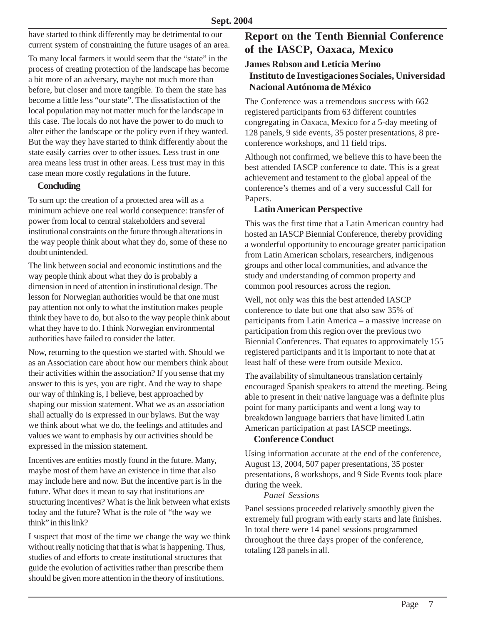have started to think differently may be detrimental to our current system of constraining the future usages of an area.

To many local farmers it would seem that the "state" in the process of creating protection of the landscape has become a bit more of an adversary, maybe not much more than before, but closer and more tangible. To them the state has become a little less "our state". The dissatisfaction of the local population may not matter much for the landscape in this case. The locals do not have the power to do much to alter either the landscape or the policy even if they wanted. But the way they have started to think differently about the state easily carries over to other issues. Less trust in one area means less trust in other areas. Less trust may in this case mean more costly regulations in the future.

#### **Concluding**

To sum up: the creation of a protected area will as a minimum achieve one real world consequence: transfer of power from local to central stakeholders and several institutional constraints on the future through alterations in the way people think about what they do, some of these no doubt unintended.

The link between social and economic institutions and the way people think about what they do is probably a dimension in need of attention in institutional design. The lesson for Norwegian authorities would be that one must pay attention not only to what the institution makes people think they have to do, but also to the way people think about what they have to do. I think Norwegian environmental authorities have failed to consider the latter.

Now, returning to the question we started with. Should we as an Association care about how our members think about their activities within the association? If you sense that my answer to this is yes, you are right. And the way to shape our way of thinking is, I believe, best approached by shaping our mission statement. What we as an association shall actually do is expressed in our bylaws. But the way we think about what we do, the feelings and attitudes and values we want to emphasis by our activities should be expressed in the mission statement.

Incentives are entities mostly found in the future. Many, maybe most of them have an existence in time that also may include here and now. But the incentive part is in the future. What does it mean to say that institutions are structuring incentives? What is the link between what exists today and the future? What is the role of "the way we think" in this link?

I suspect that most of the time we change the way we think without really noticing that that is what is happening. Thus, studies of and efforts to create institutional structures that guide the evolution of activities rather than prescribe them should be given more attention in the theory of institutions.

#### **Report on the Tenth Biennial Conference of the IASCP, Oaxaca, Mexico**

#### **James Robson and Leticia Merino Instituto de Investigaciones Sociales, Universidad Nacional Autónoma de México**

The Conference was a tremendous success with 662 registered participants from 63 different countries congregating in Oaxaca, Mexico for a 5-day meeting of 128 panels, 9 side events, 35 poster presentations, 8 preconference workshops, and 11 field trips.

Although not confirmed, we believe this to have been the best attended IASCP conference to date. This is a great achievement and testament to the global appeal of the conference's themes and of a very successful Call for Papers.

#### **Latin American Perspective**

This was the first time that a Latin American country had hosted an IASCP Biennial Conference, thereby providing a wonderful opportunity to encourage greater participation from Latin American scholars, researchers, indigenous groups and other local communities, and advance the study and understanding of common property and common pool resources across the region.

Well, not only was this the best attended IASCP conference to date but one that also saw 35% of participants from Latin America – a massive increase on participation from this region over the previous two Biennial Conferences. That equates to approximately 155 registered participants and it is important to note that at least half of these were from outside Mexico.

The availability of simultaneous translation certainly encouraged Spanish speakers to attend the meeting. Being able to present in their native language was a definite plus point for many participants and went a long way to breakdown language barriers that have limited Latin American participation at past IASCP meetings.

#### **Conference Conduct**

Using information accurate at the end of the conference, August 13, 2004, 507 paper presentations, 35 poster presentations, 8 workshops, and 9 Side Events took place during the week.

#### *Panel Sessions*

Panel sessions proceeded relatively smoothly given the extremely full program with early starts and late finishes. In total there were 14 panel sessions programmed throughout the three days proper of the conference, totaling 128 panels in all.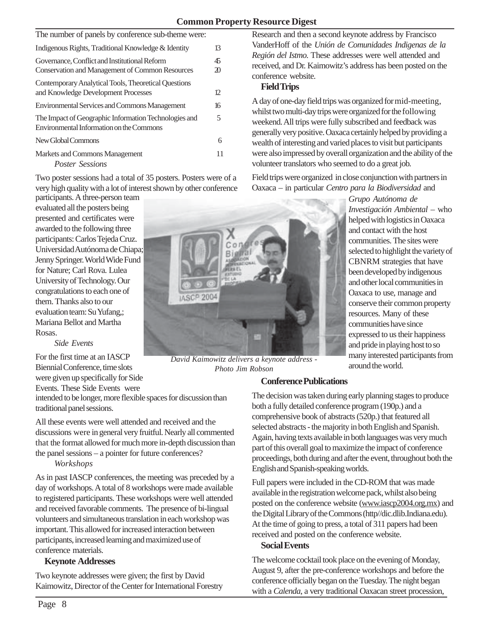#### **Common Property Resource Digest**

| The number of panels by conference sub-theme were:                                                |                      |  |
|---------------------------------------------------------------------------------------------------|----------------------|--|
| Indigenous Rights, Traditional Knowledge & Identity                                               |                      |  |
| Governance, Conflict and Institutional Reform<br>Conservation and Management of Common Resources  | 45<br>$\mathfrak{D}$ |  |
| Contemporary Analytical Tools, Theoretical Questions<br>and Knowledge Development Processes       | 12.                  |  |
| <b>Environmental Services and Commons Management</b>                                              | 16                   |  |
| The Impact of Geographic Information Technologies and<br>Environmental Information on the Commons | 5                    |  |
| New Global Commons                                                                                | 6                    |  |
| Markets and Commons Management<br><b>Poster Sessions</b>                                          | 11                   |  |

Two poster sessions had a total of 35 posters. Posters were of a very high quality with a lot of interest shown by other conference

participants. A three-person team evaluated all the posters being presented and certificates were awarded to the following three participants: Carlos Tejeda Cruz. Universidad Autónoma de Chiapa; Jenny Springer. World Wide Fund for Nature; Carl Rova. Lulea University of Technology. Our congratulations to each one of them. Thanks also to our evaluation team: Su Yufang,; Mariana Bellot and Martha Rosas.

*Side Events*

For the first time at an IASCP Biennial Conference, time slots were given up specifically for Side Events. These Side Events were

intended to be longer, more flexible spaces for discussion than traditional panel sessions.

All these events were well attended and received and the discussions were in general very fruitful. Nearly all commented that the format allowed for much more in-depth discussion than the panel sessions – a pointer for future conferences?

#### *Workshops*

As in past IASCP conferences, the meeting was preceded by a day of workshops. A total of 8 workshops were made available to registered participants. These workshops were well attended and received favorable comments. The presence of bi-lingual volunteers and simultaneous translation in each workshop was important. This allowed for increased interaction between participants, increased learning and maximized use of conference materials.

#### **Keynote Addresses**

Two keynote addresses were given; the first by David Kaimowitz, Director of the Center for International Forestry

Research and then a second keynote address by Francisco VanderHoff of the *Unión de Comunidades Indigenas de la Región del Istmo*. These addresses were well attended and received, and Dr. Kaimowitz's address has been posted on the conference website.

#### **Field Trips**

A day of one-day field trips was organized for mid-meeting, whilst two multi-day trips were organized for the following weekend. All trips were fully subscribed and feedback was generally very positive. Oaxaca certainly helped by providing a wealth of interesting and varied places to visit but participants were also impressed by overall organization and the ability of the volunteer translators who seemed to do a great job*.*

Field trips were organized in close conjunction with partners in Oaxaca – in particular *Centro para la Biodiversidad* and

> *Grupo Autónoma de Investigación Ambiental* – who helped with logistics in Oaxaca and contact with the host communities. The sites were selected to highlight the variety of CBNRM strategies that have been developed by indigenous and other local communities in Oaxaca to use, manage and conserve their common property resources. Many of these communities have since expressed to us their happiness and pride in playing host to so many interested participants from around the world.



#### **Conference Publications**

The decision was taken during early planning stages to produce both a fully detailed conference program (190p.) and a comprehensive book of abstracts (520p.) that featured all selected abstracts - the majority in both English and Spanish. Again, having texts available in both languages was very much part of this overall goal to maximize the impact of conference proceedings, both during and after the event, throughout both the English and Spanish-speaking worlds.

Full papers were included in the CD-ROM that was made available in the registration welcome pack, whilst also being posted on the conference website (www.iascp2004.org.mx) and the Digital Library of the Commons (http//dic.dlib.Indiana.edu). At the time of going to press, a total of 311 papers had been received and posted on the conference website.

#### **Social Events**

The welcome cocktail took place on the evening of Monday, August 9, after the pre-conference workshops and before the conference officially began on the Tuesday. The night began with a *Calenda*, a very traditional Oaxacan street procession,

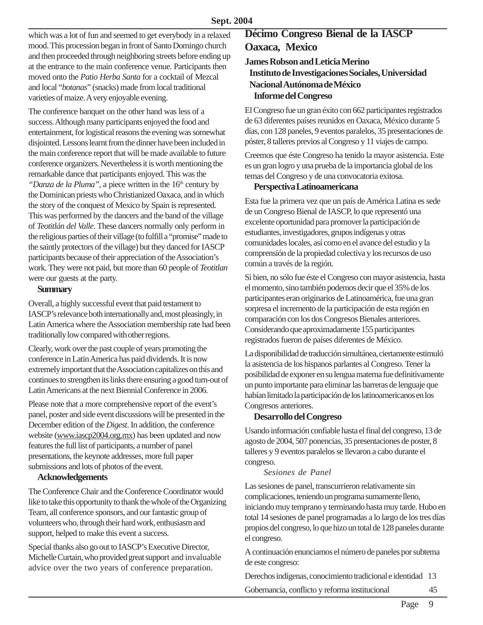which was a lot of fun and seemed to get everybody in a relaxed mood. This procession began in front of Santo Domingo church and then proceeded through neighboring streets before ending up at the entrance to the main conference venue. Participants then moved onto the *Patio Herba Santa* for a cocktail of Mezcal and local "*botanas*" (snacks) made from local traditional varieties of maize. A very enjoyable evening.

The conference banquet on the other hand was less of a success. Although many participants enjoyed the food and entertainment, for logistical reasons the evening was somewhat disjointed. Lessons learnt from the dinner have been included in the main conference report that will be made available to future conference organizers. Nevertheless it is worth mentioning the remarkable dance that participants enjoyed. This was the *"Danza de la Pluma"*, a piece written in the 16<sup>th</sup> century by the Dominican priests who Christianized Oaxaca, and in which the story of the conquest of Mexico by Spain is represented. This was performed by the dancers and the band of the village of *Teotitlán del Valle*. These dancers normally only perform in the religious parties of their village (to fulfill a "promise" made to the saintly protectors of the village) but they danced for IASCP participants because of their appreciation of the Association's work. They were not paid, but more than 60 people of *Teotitlan* were our guests at the party.

#### **Summary**

Overall, a highly successful event that paid testament to IASCP's relevance both internationally and, most pleasingly, in Latin America where the Association membership rate had been traditionally low compared with other regions.

Clearly, work over the past couple of years promoting the conference in Latin America has paid dividends. It is now extremely important that the Association capitalizes on this and continues to strengthen its links there ensuring a good turn-out of Latin Americans at the next Biennial Conference in 2006.

Please note that a more comprehensive report of the event's panel, poster and side event discussions will be presented in the December edition of the *Digest*. In addition, the conference website (www.iascp2004.org.mx) has been updated and now features the full list of participants, a number of panel presentations, the keynote addresses, more full paper submissions and lots of photos of the event.

#### **Acknowledgements**

The Conference Chair and the Conference Coordinator would like to take this opportunity to thank the whole of the Organizing Team, all conference sponsors, and our fantastic group of volunteers who, through their hard work, enthusiasm and support, helped to make this event a success.

Special thanks also go out to IASCP's Executive Director, Michelle Curtain, who provided great support and invaluable advice over the two years of conference preparation.

## **Décimo Congreso Bienal de la IASCP Oaxaca, Mexico**

#### **James Robson and Leticia Merino Instituto de Investigaciones Sociales, Universidad Nacional Autónoma de México Informe del Congreso**

El Congreso fue un gran éxito con 662 participantes registrados de 63 diferentes países reunidos en Oaxaca, México durante 5 días, con 128 paneles, 9 eventos paralelos, 35 presentaciones de póster, 8 talleres previos al Congreso y 11 viajes de campo.

Creemos que éste Congreso ha tenido la mayor asistencia. Este es un gran logro y una prueba de la importancia global de los temas del Congreso y de una convocatoria exitosa.

#### **Perspectiva Latinoamericana**

Esta fue la primera vez que un país de América Latina es sede de un Congreso Bienal de IASCP, lo que representó una excelente oportunidad para promover la participación de estudiantes, investigadores, grupos indígenas y otras comunidades locales, así como en el avance del estudio y la comprensión de la propiedad colectiva y los recursos de uso común a través de la región.

Si bien, no sólo fue éste el Congreso con mayor asistencia, hasta el momento, sino también podemos decir que el 35% de los participantes eran originarios de Latinoamérica, fue una gran sorpresa el incremento de la participación de esta región en comparación con los dos Congresos Bienales anteriores. Considerando que aproximadamente 155 participantes registrados fueron de países diferentes de México.

La disponibilidad de traducción simultánea, ciertamente estimuló la asistencia de los hispanos parlantes al Congreso. Tener la posibilidad de exponer en su lengua materna fue definitivamente un punto importante para eliminar las barreras de lenguaje que habían limitado la participación de los latinoamericanos en los Congresos anteriores.

#### **Desarrollo del Congreso**

Usando información confiable hasta el final del congreso, 13 de agosto de 2004, 507 ponencias, 35 presentaciones de poster, 8 talleres y 9 eventos paralelos se llevaron a cabo durante el congreso.

#### *Sesiones de Panel*

Las sesiones de panel, transcurrieron relativamente sin complicaciones, teniendo un programa sumamente lleno, iniciando muy temprano y terminando hasta muy tarde. Hubo en total 14 sesiones de panel programadas a lo largo de los tres días propios del congreso, lo que hizo un total de 128 paneles durante el congreso.

A continuación enunciamos el número de paneles por subtema de este congreso:

Derechos indígenas, conocimiento tradicional e identidad 13

Gobernancia, conflicto y reforma institucional 45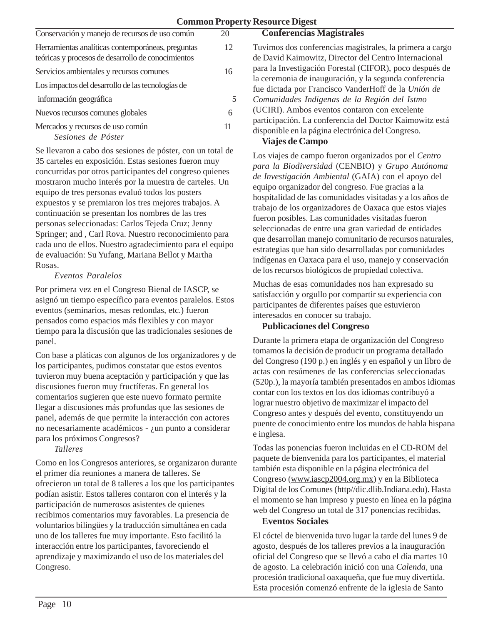| Conservación y manejo de recursos de uso común                                                          | 20 |
|---------------------------------------------------------------------------------------------------------|----|
| Herramientas analíticas contemporáneas, preguntas<br>teóricas y procesos de desarrollo de conocimientos | 12 |
| Servicios ambientales y recursos comunes                                                                | 16 |
| Los impactos del desarrollo de las tecnologías de                                                       |    |
| información geográfica                                                                                  | 5  |
| Nuevos recursos comunes globales                                                                        | 6  |
| Mercados y recursos de uso común<br>Sesiones de Póster                                                  |    |

Se llevaron a cabo dos sesiones de póster, con un total de 35 carteles en exposición. Estas sesiones fueron muy concurridas por otros participantes del congreso quienes mostraron mucho interés por la muestra de carteles. Un equipo de tres personas evaluó todos los posters expuestos y se premiaron los tres mejores trabajos. A continuación se presentan los nombres de las tres personas seleccionadas: Carlos Tejeda Cruz; Jenny Springer; and , Carl Rova. Nuestro reconocimiento para cada uno de ellos. Nuestro agradecimiento para el equipo de evaluación: Su Yufang, Mariana Bellot y Martha Rosas.

#### *Eventos Paralelos*

Por primera vez en el Congreso Bienal de IASCP, se asignó un tiempo específico para eventos paralelos. Estos eventos (seminarios, mesas redondas, etc.) fueron pensados como espacios más flexibles y con mayor tiempo para la discusión que las tradicionales sesiones de panel.

Con base a pláticas con algunos de los organizadores y de los participantes, pudimos constatar que estos eventos tuvieron muy buena aceptación y participación y que las discusiones fueron muy fructíferas. En general los comentarios sugieren que este nuevo formato permite llegar a discusiones más profundas que las sesiones de panel, además de que permite la interacción con actores no necesariamente académicos - ¿un punto a considerar para los próximos Congresos?

*Talleres*

Como en los Congresos anteriores, se organizaron durante el primer día reuniones a manera de talleres. Se ofrecieron un total de 8 talleres a los que los participantes podían asistir. Estos talleres contaron con el interés y la participación de numerosos asistentes de quienes recibimos comentarios muy favorables. La presencia de voluntarios bilingües y la traducción simultánea en cada uno de los talleres fue muy importante. Esto facilitó la interacción entre los participantes, favoreciendo el aprendizaje y maximizando el uso de los materiales del Congreso.

Tuvimos dos conferencias magistrales, la primera a cargo de David Kaimowitz, Director del Centro Internacional para la Investigación Forestal (CIFOR), poco después de la ceremonia de inauguración, y la segunda conferencia fue dictada por Francisco VanderHoff de la *Unión de Comunidades Indigenas de la Región del Istmo* (UCIRI). Ambos eventos contaron con excelente participación. La conferencia del Doctor Kaimowitz está disponible en la página electrónica del Congreso.

#### **Viajes de Campo**

**Conferencias Magistrales**

Los viajes de campo fueron organizados por el *Centro para la Biodiversidad* (CENBIO) y *Grupo Autónoma de Investigación Ambiental* (GAIA) con el apoyo del equipo organizador del congreso. Fue gracias a la hospitalidad de las comunidades visitadas y a los años de trabajo de los organizadores de Oaxaca que estos viajes fueron posibles. Las comunidades visitadas fueron seleccionadas de entre una gran variedad de entidades que desarrollan manejo comunitario de recursos naturales, estrategias que han sido desarrolladas por comunidades indígenas en Oaxaca para el uso, manejo y conservación de los recursos biológicos de propiedad colectiva.

Muchas de esas comunidades nos han expresado su satisfacción y orgullo por compartir su experiencia con participantes de diferentes países que estuvieron interesados en conocer su trabajo.

#### **Publicaciones del Congreso**

Durante la primera etapa de organización del Congreso tomamos la decisión de producir un programa detallado del Congreso (190 p.) en inglés y en español y un libro de actas con resúmenes de las conferencias seleccionadas (520p.), la mayoría también presentados en ambos idiomas contar con los textos en los dos idiomas contribuyó a lograr nuestro objetivo de maximizar el impacto del Congreso antes y después del evento, constituyendo un puente de conocimiento entre los mundos de habla hispana e inglesa.

Todas las ponencias fueron incluidas en el CD-ROM del paquete de bienvenida para los participantes, el material también esta disponible en la página electrónica del Congreso (www.iascp2004.org.mx) y en la Biblioteca Digital de los Comunes (http//dic.dlib.Indiana.edu). Hasta el momento se han impreso y puesto en línea en la página web del Congreso un total de 317 ponencias recibidas.

#### **Eventos Sociales**

El cóctel de bienvenida tuvo lugar la tarde del lunes 9 de agosto, después de los talleres previos a la inauguración oficial del Congreso que se llevó a cabo el día martes 10 de agosto. La celebración inició con una *Calenda,* una procesión tradicional oaxaqueña, que fue muy divertida. Esta procesión comenzó enfrente de la iglesia de Santo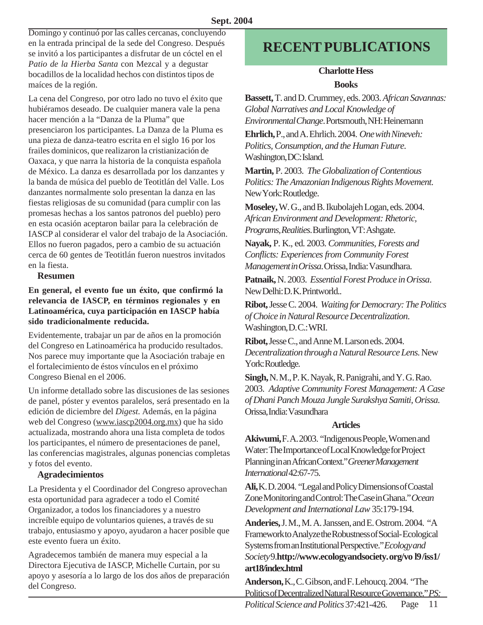Domingo y continuó por las calles cercanas, concluyendo en la entrada principal de la sede del Congreso. Después se invitó a los participantes a disfrutar de un cóctel en el *Patio de la Hierba Santa* con Mezcal y a degustar bocadillos de la localidad hechos con distintos tipos de maíces de la región.

La cena del Congreso, por otro lado no tuvo el éxito que hubiéramos deseado. De cualquier manera vale la pena hacer mención a la "Danza de la Pluma" que presenciaron los participantes. La Danza de la Pluma es una pieza de danza-teatro escrita en el siglo 16 por los frailes dominicos, que realizaron la cristianización de Oaxaca, y que narra la historia de la conquista española de México. La danza es desarrollada por los danzantes y la banda de música del pueblo de Teotitlán del Valle. Los danzantes normalmente solo presentan la danza en las fiestas religiosas de su comunidad (para cumplir con las promesas hechas a los santos patronos del pueblo) pero en esta ocasión aceptaron bailar para la celebración de IASCP al considerar el valor del trabajo de la Asociación. Ellos no fueron pagados, pero a cambio de su actuación cerca de 60 gentes de Teotitlán fueron nuestros invitados en la fiesta.

#### **Resumen**

**En general, el evento fue un éxito, que confirmó la relevancia de IASCP, en términos regionales y en Latinoamérica, cuya participación en IASCP había sido tradicionalmente reducida.**

Evidentemente, trabajar un par de años en la promoción del Congreso en Latinoamérica ha producido resultados. Nos parece muy importante que la Asociación trabaje en el fortalecimiento de éstos vínculos en el próximo Congreso Bienal en el 2006.

Un informe detallado sobre las discusiones de las sesiones de panel, póster y eventos paralelos, será presentado en la edición de diciembre del *Digest.* Además, en la página web del Congreso (www.iascp2004.org.mx) que ha sido actualizada, mostrando ahora una lista completa de todos los participantes, el número de presentaciones de panel, las conferencias magistrales, algunas ponencias completas y fotos del evento.

#### **Agradecimientos**

La Presidenta y el Coordinador del Congreso aprovechan esta oportunidad para agradecer a todo el Comité Organizador, a todos los financiadores y a nuestro increíble equipo de voluntarios quienes, a través de su trabajo, entusiasmo y apoyo, ayudaron a hacer posible que este evento fuera un éxito.

Agradecemos también de manera muy especial a la Directora Ejecutiva de IASCP, Michelle Curtain, por su apoyo y asesoría a lo largo de los dos años de preparación del Congreso.

## **RECENT PUBLICATIONS**

#### **Charlotte Hess Books**

**Bassett,** T. and D. Crummey, eds. 2003. *African Savannas: Global Narratives and Local Knowledge of Environmental Change*. Portsmouth, NH: Heinemann

**Ehrlich,** P., and A. Ehrlich. 2004. *One with Nineveh: Politics, Consumption, and the Human Future*. Washington, DC: Island.

**Martin,** P. 2003. *The Globalization of Contentious Politics: The Amazonian Indigenous Rights Movement*. New York: Routledge.

**Moseley,** W. G., and B. Ikubolajeh Logan, eds. 2004. *African Environment and Development: Rhetoric, Programs, Realities*. Burlington, VT: Ashgate.

**Nayak,** P. K., ed. 2003. *Communities, Forests and Conflicts: Experiences from Community Forest Management in Orissa*. Orissa, India: Vasundhara.

**Patnaik,** N. 2003. *Essential Forest Produce in Orissa*. New Delhi: D. K. Printworld..

**Ribot,** Jesse C. 2004. *Waiting for Democrary: The Politics of Choice in Natural Resource Decentralization*. Washington, D.C.: WRI.

**Ribot,** Jesse C., and Anne M. Larson eds. 2004. *Decentralization through a Natural Resource Lens*. New York: Routledge.

**Singh,** N. M., P. K. Nayak, R. Panigrahi, and Y. G. Rao. 2003. *Adaptive Community Forest Management: A Case of Dhani Panch Mouza Jungle Surakshya Samiti, Orissa*. Orissa, India: Vasundhara

#### **Articles**

**Akiwumi,** F. A. 2003. "Indigenous People, Women and Water: The Importance of Local Knowledge for Project Planning in an African Context." *Greener Management International* 42:67-75.

**Ali,** K. D. 2004. "Legal and Policy Dimensions of Coastal Zone Monitoring and Control: The Case in Ghana." *Ocean Development and International Law* 35:179-194.

**Anderies,** J. M., M. A. Janssen, and E. Ostrom. 2004. "A Framework to Analyze the Robustness of Social- Ecological Systems from an Institutional Perspective." *Ecology and Society* 9.**http://www.ecologyandsociety. org/vo l9 /iss1/ art18/index.html**

Page 11 **Anderson,** K., C. Gibson, and F. Lehoucq. 2004. "The Politics of Decentralized Natural Resource Governance." *PS: Political Science and Politics* 37:421-426.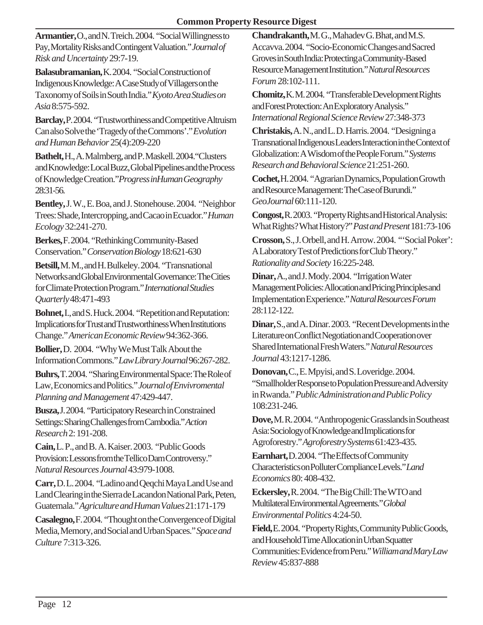#### **Common Property Resource Digest**

**Armantier,** O., and N. Treich. 2004. "Social Willingness to Pay, Mortality Risks and Contingent Valuation." *Journal of Risk and Uncertainty* 29:7-19.

**Balasubramanian,** K. 2004. "Social Construction of Indigenous Knowledge: A Case Study of Villagers on the Taxonomy of Soils in South India." *Kyoto Area Studies on Asia* 8:575-592.

**Barclay,** P. 2004. "Trustworthiness and Competitive Altruism Can also Solve the 'Tragedy of the Commons'." *Evolution and Human Behavior* 25(4):209-220

**Bathelt,** H., A. Malmberg, and P. Maskell. 2004."Clusters and Knowledge: Local Buzz, Global Pipelines and the Process of Knowledge Creation."*Progress inHuman Geography* 28:31-56.

**Bentley,** J. W., E. Boa, and J. Stonehouse. 2004. "Neighbor Trees: Shade, Intercropping, and Cacao in Ecuador." *Human Ecology* 32:241-270.

**Berkes,** F. 2004. "Rethinking Community-Based Conservation." *Conservation Biology* 18:621-630

**Betsill,** M. M., and H. Bulkeley. 2004. "Transnational Networks and Global Environmental Governance: The Cities for Climate Protection Program." *International Studies Quarterly* 48:471-493

**Bohnet,** I., and S. Huck. 2004. "Repetition and Reputation: Implications for Trust and Trustworthiness When Institutions Change." *American Economic Review* 94:362-366.

**Bollier,** D. 2004. "Why We Must Talk About the Information Commons." *Law Library Journal* 96:267-282.

**Buhrs,** T. 2004. "Sharing Environmental Space: The Role of Law, Economics and Politics." *Journal of Envivromental Planning and Management* 47:429-447.

**Busza,** J. 2004. "Participatory Research in Constrained Settings: Sharing Challenges from Cambodia." *Action Research* 2: 191-208.

**Cain,** L. P., and B. A. Kaiser. 2003. "Public Goods Provision: Lessons from the Tellico Dam Controversy." *Natural Resources Journal* 43:979-1008.

**Carr,** D. L. 2004. "Ladino and Qeqchi Maya Land Use and Land Clearing in the Sierra de Lacandon National Park, Peten, Guatemala." *Agriculture and Human Values* 21:171-179

**Casalegno,** F. 2004. "Thought on the Convergence of Digital Media, Memory, and Social and Urban Spaces." *Space and Culture* 7:313-326.

**Chandrakanth,** M. G., Mahadev G. Bhat, and M.S. Accavva. 2004. "Socio-Economic Changes and Sacred Groves in South India: Protecting a Community-Based Resource Management Institution." *Natural Resources Forum* 28:102-111.

**Chomitz,** K. M. 2004. "Transferable Development Rights and Forest Protection: An Exploratory Analysis." *International Regional Science Review* 27:348-373

**Christakis,** A. N., and L. D. Harris. 2004. "Designing a Transnational Indigenous Leaders Interaction in the Context of Globalization: A Wisdom of the People Forum." *Systems Research and Behavioral Science* 21:251-260.

**Cochet,** H. 2004. "Agrarian Dynamics, Population Growth and Resource Management: The Case of Burundi." *GeoJournal* 60:111-120.

**Congost,** R. 2003. "Property Rights and Historical Analysis: What Rights? What History?" *Past and Present* 181:73-106

**Crosson,** S., J. Orbell, and H. Arrow. 2004. "'Social Poker': A Laboratory Test of Predictions for Club Theory." *Rationality and Society* 16:225-248.

**Dinar,** A., and J. Mody. 2004. "Irrigation Water Management Policies: Allocation and Pricing Principles and Implementation Experience." *Natural Resources Forum* 28:112-122.

**Dinar,** S., and A. Dinar. 2003. "Recent Developments in the Literature on Conflict Negotiation and Cooperation over Shared International Fresh Waters." *Natural Resources Journal* 43:1217-1286.

**Donovan,** C., E. Mpyisi, and S. Loveridge. 2004. "Smallholder Response to Population Pressure and Adversity in Rwanda." *Public Administration and Public Policy* 108:231-246.

**Dove,** M. R. 2004. "Anthropogenic Grasslands in Southeast Asia: Sociology of Knowledge and Implications for Agroforestry." *Agroforestry Systems* 61:423-435.

**Earnhart,** D. 2004. "The Effects of Community Characteristics on Polluter Compliance Levels." *Land Economics* 80: 408-432.

**Eckersley,** R. 2004. "The Big Chill: The WTO and Multilateral Environmental Agreements." *Global Environmental Politics* 4:24-50.

**Field,** E. 2004. "Property Rights, Community Public Goods, and Household Time Allocation in Urban Squatter Communities: Evidence from Peru." *William and Mary Law Review* 45:837-888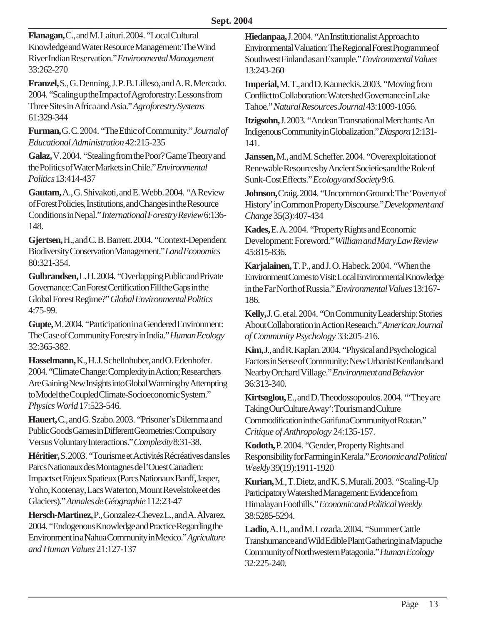**Flanagan,** C., and M. Laituri. 2004. "Local Cultural Knowledge and Water Resource Management: The Wind River Indian Reservation." *Environmental Management* 33:262-270

**Franzel,** S., G. Denning, J. P. B. Lilleso, and A. R. Mercado. 2004. "Scaling up the Impact of Agroforestry: Lessons from Three Sites in Africa and Asia." *Agroforestry Systems* 61:329-344

**Furman,** G. C. 2004. "The Ethic of Community." *Journal of Educational Administration* 42:215-235

**Galaz,** V. 2004. "Stealing from the Poor? Game Theory and the Politics of Water Markets in Chile." *Environmental Politics* 13:414-437

**Gautam,** A., G. Shivakoti, and E. Webb. 2004. "A Review of Forest Policies, Institutions, and Changes in the Resource Conditions in Nepal." *International Forestry Review* 6:136- 148.

**Gjertsen,** H., and C. B. Barrett. 2004. "Context-Dependent Biodiversity Conservation Management." *Land Economics* 80:321-354.

**Gulbrandsen,** L. H. 2004. "Overlapping Public and Private Governance: Can Forest Certification Fill the Gaps in the Global Forest Regime?" *Global Environmental Politics* 4:75-99.

**Gupte,** M. 2004. "Participation in a Gendered Environment: The Case of Community Forestry in India." *Human Ecology* 32:365-382.

**Hasselmann,** K., H. J. Schellnhuber, and O. Edenhofer. 2004. "Climate Change: Complexity in Action; Researchers Are Gaining New Insights into Global Warming by Attempting to Model the Coupled Climate-Socioeconomic System." *Physics World* 17:523-546.

**Hauert,** C., and G. Szabo. 2003. "Prisoner's Dilemma and Public Goods Games in Different Geometries: Compulsory Versus Voluntary Interactions." *Complexity* 8:31-38.

**Héritier,** S. 2003. "Tourisme et Activités Récréatives dans les Parcs Nationaux des Montagnes de l'Ouest Canadien: Impacts et Enjeux Spatieux (Parcs Nationaux Banff, Jasper, Yoho, Kootenay, Lacs Waterton, Mount Revelstoke et des Glaciers)." *Annales de Géographie* 112:23-47

**Hersch-Martinez,** P., Gonzalez-Chevez L., and A. Alvarez. 2004. "Endogenous Knowledge and Practice Regarding the Environment in a Nahua Community in Mexico." *Agriculture and Human Values* 21:127-137

**Hiedanpaa,** J. 2004. "An Institutionalist Approach to Environmental Valuation: The Regional Forest Programme of Southwest Finland as an Example." *Environmental Values* 13:243-260

**Imperial,** M. T., and D. Kauneckis. 2003. "Moving from Conflict to Collaboration: Watershed Governance in Lake Tahoe." *Natural Resources Journal* 43:1009-1056.

**Itzigsohn,** J. 2003. "Andean Transnational Merchants: An Indigenous Community in Globalization." *Diaspora* 12:131- 141.

**Janssen,** M., and M. Scheffer. 2004. "Overexploitation of Renewable Resources by Ancient Societies and the Role of Sunk-Cost Effects." *Ecology and Society* 9:6.

**Johnson,** Craig. 2004. "Uncommon Ground: The 'Poverty of History' in Common Property Discourse." *Development and Change* 35(3):407-434

**Kades,** E. A. 2004. "Property Rights and Economic Development: Foreword." *William and Mary Law Review* 45:815-836.

**Karjalainen,** T. P., and J. O. Habeck. 2004. "When the Environment Comes to Visit: Local Environmental Knowledge in the Far North of Russia." *Environmental Values* 13:167- 186.

**Kelly,** J. G. et al. 2004. "On Community Leadership: Stories About Collaboration in Action Research." *American Journal of Community Psychology* 33:205-216.

**Kim,** J., and R. Kaplan. 2004. "Physical and Psychological Factors in Sense of Community: New Urbanist Kentlands and Nearby Orchard Village." *Environment and Behavior* 36:313-340.

**Kirtsoglou,** E., and D. Theodossopoulos. 2004. "'They are Taking Our Culture Away': Tourism and Culture Commodification in the Garifuna Community of Roatan." *Critique of Anthropology* 24:135-157.

**Kodoth,** P. 2004. "Gender, Property Rights and Responsibility for Farming in Kerala." *Economic and Political Weekly* 39(19):1911-1920

**Kurian,** M., T. Dietz, and K. S. Murali. 2003. "Scaling-Up Participatory Watershed Management: Evidence from Himalayan Foothills." *Economic and Political Weekly* 38:5285-5294.

**Ladio,** A. H., and M. Lozada. 2004. "Summer Cattle Transhumance and Wild Edible Plant Gathering in a Mapuche Community of Northwestern Patagonia." *Human Ecology* 32:225-240.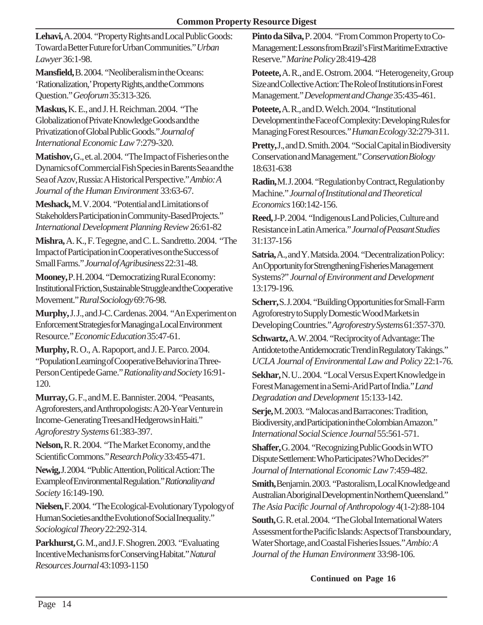**Lehavi,** A. 2004. "Property Rights and Local Public Goods: Toward a Better Future for Urban Communities." *Urban Lawyer* 36:1-98.

**Mansfield,** B. 2004. "Neoliberalism in the Oceans: 'Rationalization,' Property Rights, and the Commons Question." *Geoforum* 35:313-326.

**Maskus,** K. E., and J. H. Reichman. 2004. "The Globalization of Private Knowledge Goods and the Privatization of Global Public Goods." *Journal of International Economic Law* 7:279-320.

**Matishov,** G., et. al. 2004. "The Impact of Fisheries on the Dynamics of Commercial Fish Species in Barents Sea and the Sea of Azov, Russia: A Historical Perspective." *Ambio: A Journal of the Human Environment* 33:63-67.

**Meshack,** M. V. 2004. "Potential and Limitations of Stakeholders Participation in Community-Based Projects." *International Development Planning Review* 26:61-82

**Mishra,** A. K., F. Tegegne, and C. L. Sandretto. 2004. "The Impact of Participation in Cooperatives on the Success of Small Farms." *Journal of Agribusiness* 22:31-48.

**Mooney,** P. H. 2004. "Democratizing Rural Economy: Institutional Friction, Sustainable Struggle and the Cooperative Movement." *Rural Sociology* 69:76-98.

**Murphy,** J. J., and J-C. Cardenas. 2004. "An Experiment on Enforcement Strategies for Managing a Local Environment Resource." *Economic Education* 35:47-61.

**Murphy,** R. O., A. Rapoport, and J. E. Parco. 2004. "Population Learning of Cooperative Behavior in a Three-Person Centipede Game." *Rationality and Society* 16:91- 120.

**Murray,** G. F., and M. E. Bannister. 2004. "Peasants, Agroforesters, and Anthropologists: A 20-Year Venture in Income- Generating Trees and Hedgerows in Haiti." *Agroforestry Systems* 61:383-397.

**Nelson,** R. R. 2004. "The Market Economy, and the Scientific Commons." *Research Policy* 33:455-471.

**Newig,** J. 2004. "Public Attention, Political Action: The Example of Environmental Regulation." *Rationality and Society* 16:149-190.

**Nielsen,** F. 2004. "The Ecological-Evolutionary Typology of Human Societies and the Evolution of Social Inequality." *Sociological Theory* 22:292-314.

**Parkhurst,** G. M., and J. F. Shogren. 2003. "Evaluating Incentive Mechanisms for Conserving Habitat." *Natural Resources Journal* 43:1093-1150

**Pinto da Silva,** P. 2004. "From Common Property to Co-Management: Lessons from Brazil's First Maritime Extractive Reserve." *Marine Policy* 28:419-428

**Poteete,** A. R., and E. Ostrom. 2004. "Heterogeneity, Group Size and Collective Action: The Role of Institutions in Forest Management." *Development and Change* 35:435-461.

**Poteete,** A. R., and D. Welch. 2004. "Institutional Development in the Face of Complexity: Developing Rules for Managing Forest Resources." *Human Ecology* 32:279-311.

**Pretty,** J., and D. Smith. 2004. "Social Capital in Biodiversity Conservation and Management." *Conservation Biology* 18:631-638

**Radin,** M. J. 2004. "Regulation by Contract, Regulation by Machine." *Journal of Institutional and Theoretical Economics* 160:142-156.

**Reed,** J-P. 2004. "Indigenous Land Policies, Culture and Resistance in Latin America." *Journal of Peasant Studies* 31:137-156

**Satria,** A., and Y. Matsida. 2004. "Decentralization Policy: An Opportunity for Strengthening Fisheries Management Systems?" *Journal of Environment and Development* 13:179-196.

**Scherr,** S. J. 2004. "Building Opportunities for Small-Farm Agroforestry to Supply Domestic Wood Markets in Developing Countries." *Agroforestry Systems* 61:357-370.

**Schwartz,** A. W. 2004. "Reciprocity of Advantage: The Antidote to the Antidemocratic Trend in Regulatory Takings." *UCLA Journal of Environmental Law and Policy* 22:1-76.

**Sekhar,** N. U.. 2004. "Local Versus Expert Knowledge in Forest Management in a Semi-Arid Part of India." *Land Degradation and Development* 15:133-142.

**Serje,** M. 2003. "Malocas and Barracones: Tradition, Biodiversity, and Participation in the Colombian Amazon." *International Social Science Journal* 55:561-571.

**Shaffer,** G. 2004. "Recognizing Public Goods in WTO Dispute Settlement: Who Participates? Who Decides?" *Journal of International Economic Law* 7:459-482.

**Smith,** Benjamin. 2003. "Pastoralism, Local Knowledge and Australian Aboriginal Development in Northern Queensland." *The Asia Pacific Journal of Anthropology* 4(1-2):88-104

**South,** G. R. et al. 2004. "The Global International Waters Assessment for the Pacific Islands: Aspects of Transboundary, Water Shortage, and Coastal Fisheries Issues." *Ambio: A Journal of the Human Environment* 33:98-106.

**Continued on Page 16**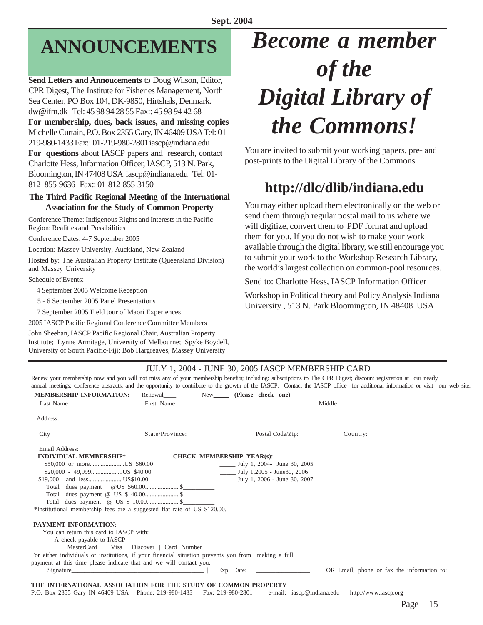## **ANNOUNCEMENTS**

**Send Letters and Annoucements** to Doug Wilson, Editor, CPR Digest, The Institute for Fisheries Management, North Sea Center, PO Box 104, DK-9850, Hirtshals, Denmark. dw@ifm.dk Tel: 45 98 94 28 55 Fax:: 45 98 94 42 68 **For membership, dues, back issues, and missing copies** Michelle Curtain, P.O. Box 2355 Gary, IN 46409 USA Tel: 01- 219-980-1433 Fax:: 01-219-980-2801 iascp@indiana.edu **For questions** about IASCP papers and research, contact Charlotte Hess, Information Officer, IASCP, 513 N. Park, Bloomington, IN 47408 USA iascp@indiana.edu Tel: 01- 812- 855-9636 Fax:: 01-812-855-3150

#### **The Third Pacific Regional Meeting of the International Association for the Study of Common Property**

Conference Theme: Indigenous Rights and Interests in the Pacific Region: Realities and Possibilities

Conference Dates: 4-7 September 2005

Location: Massey University, Auckland, New Zealand

Hosted by: The Australian Property Institute (Queensland Division) and Massey University

Schedule of Events:

4 September 2005 Welcome Reception

5 - 6 September 2005 Panel Presentations

7 September 2005 Field tour of Maori Experiences

2005 IASCP Pacific Regional Conference Committee Members

John Sheehan, IASCP Pacific Regional Chair, Australian Property Institute; Lynne Armitage, University of Melbourne; Spyke Boydell, University of South Pacific-Fiji; Bob Hargreaves, Massey University

## *Become a member of the Digital Library of the Commons!*

You are invited to submit your working papers, pre- and post-prints to the Digital Library of the Commons

### **http://dlc/dlib/indiana.edu**

You may either upload them electronically on the web or send them through regular postal mail to us where we will digitize, convert them to PDF format and upload them for you. If you do not wish to make your work available through the digital library, we still encourage you to submit your work to the Workshop Research Library, the world's largest collection on common-pool resources.

Send to: Charlotte Hess, IASCP Information Officer

Workshop in Political theory and Policy Analysis Indiana University , 513 N. Park Bloomington, IN 48408 USA

#### JULY 1, 2004 - JUNE 30, 2005 IASCP MEMBERSHIP CARD

Renew your membership now and you will not miss any of your membership benefits; including: subscriptions to The CPR Digest; discount registration at our nearly annual meetings; conference abstracts, and the opportunity to contribute to the growth of the IASCP. Contact the IASCP office for additional information or visit our web site.

| <b>MEMBERSHIP INFORMATION:</b>                                                                                                                                                                                                 | Renewal         | New (Please check one)                                                   |                                            |  |
|--------------------------------------------------------------------------------------------------------------------------------------------------------------------------------------------------------------------------------|-----------------|--------------------------------------------------------------------------|--------------------------------------------|--|
| Last Name                                                                                                                                                                                                                      | First Name      |                                                                          | Middle                                     |  |
| Address:                                                                                                                                                                                                                       |                 |                                                                          |                                            |  |
| City                                                                                                                                                                                                                           | State/Province: | Postal Code/Zip:                                                         | Country:                                   |  |
| Email Address:                                                                                                                                                                                                                 |                 |                                                                          |                                            |  |
| <b>INDIVIDUAL MEMBERSHIP*</b>                                                                                                                                                                                                  |                 | <b>CHECK MEMBERSHIP YEAR(s):</b>                                         |                                            |  |
|                                                                                                                                                                                                                                |                 | $\frac{1}{2}$ July 1, 2004- June 30, 2005                                |                                            |  |
| $$20,000 - 49,999$ US \$40.00                                                                                                                                                                                                  |                 | $\frac{\text{July } 1,2005 - \text{June} 30,2006}{\text{June } 30,2006}$ |                                            |  |
| \$19,000 and lessUS\$10.00                                                                                                                                                                                                     |                 | $\frac{1}{2}$ July 1, 2006 - June 30, 2007                               |                                            |  |
|                                                                                                                                                                                                                                |                 |                                                                          |                                            |  |
|                                                                                                                                                                                                                                |                 |                                                                          |                                            |  |
|                                                                                                                                                                                                                                |                 |                                                                          |                                            |  |
| *Institutional membership fees are a suggested flat rate of US \$120.00.                                                                                                                                                       |                 |                                                                          |                                            |  |
| <b>PAYMENT INFORMATION:</b>                                                                                                                                                                                                    |                 |                                                                          |                                            |  |
| You can return this card to IASCP with:                                                                                                                                                                                        |                 |                                                                          |                                            |  |
| - A check payable to IASCP                                                                                                                                                                                                     |                 |                                                                          |                                            |  |
| ____ MasterCard ____Visa___Discover   Card Number_______________________________                                                                                                                                               |                 |                                                                          |                                            |  |
| For either individuals or institutions, if your financial situation prevents you from making a full                                                                                                                            |                 |                                                                          |                                            |  |
| payment at this time please indicate that and we will contact you.                                                                                                                                                             |                 |                                                                          |                                            |  |
| Signature Signature Signature and the state of the state of the state of the state of the state of the state of the state of the state of the state of the state of the state of the state of the state of the state of the st |                 | Exp. Date: $\qquad \qquad$                                               | OR Email, phone or fax the information to: |  |
|                                                                                                                                                                                                                                |                 |                                                                          |                                            |  |
| THE INTERNATIONAL ASSOCIATION FOR THE STUDY OF COMMON PROPERTY                                                                                                                                                                 |                 |                                                                          |                                            |  |

P.O. Box 2355 Gary IN 46409 USA Phone: 219-980-1433 Fax: 219-980-2801 e-mail: iascp@indiana.edu http://www.iascp.org